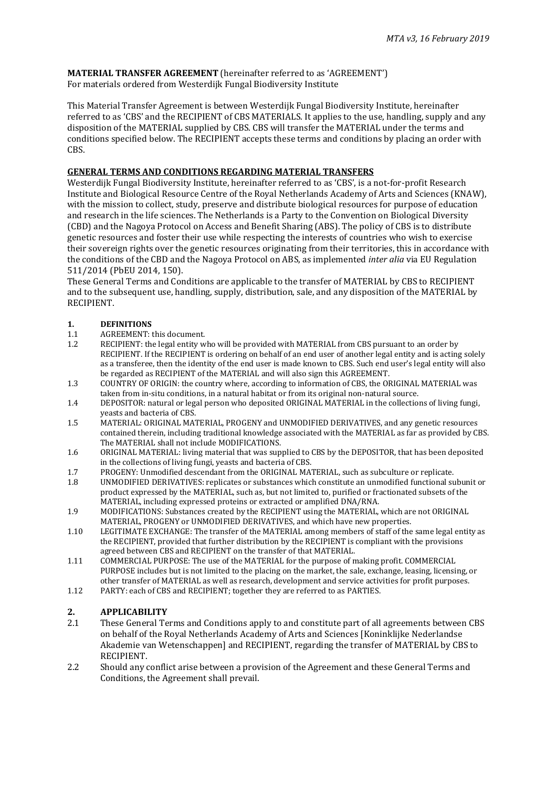#### **MATERIAL TRANSFER AGREEMENT** (hereinafter referred to as 'AGREEMENT') For materials ordered from Westerdijk Fungal Biodiversity Institute

This Material Transfer Agreement is between Westerdijk Fungal Biodiversity Institute, hereinafter referred to as 'CBS' and the RECIPIENT of CBS MATERIALS. It applies to the use, handling, supply and any disposition of the MATERIAL supplied by CBS. CBS will transfer the MATERIAL under the terms and conditions specified below. The RECIPIENT accepts these terms and conditions by placing an order with CBS.

#### **GENERAL TERMS AND CONDITIONS REGARDING MATERIAL TRANSFERS**

Westerdijk Fungal Biodiversity Institute, hereinafter referred to as 'CBS', is a not-for-profit Research Institute and Biological Resource Centre of the Royal Netherlands Academy of Arts and Sciences (KNAW), with the mission to collect, study, preserve and distribute biological resources for purpose of education and research in the life sciences. The Netherlands is a Party to the Convention on Biological Diversity (CBD) and the Nagoya Protocol on Access and Benefit Sharing (ABS). The policy of CBS is to distribute genetic resources and foster their use while respecting the interests of countries who wish to exercise their sovereign rights over the genetic resources originating from their territories, this in accordance with the conditions of the CBD and the Nagoya Protocol on ABS, as implemented *inter alia* via EU Regulation 511/2014 (PbEU 2014, 150).

These General Terms and Conditions are applicable to the transfer of MATERIAL by CBS to RECIPIENT and to the subsequent use, handling, supply, distribution, sale, and any disposition of the MATERIAL by RECIPIENT.

## **1. DEFINITIONS**<br>**1.1 AGREEMENT:**

- 1.1 AGREEMENT: this document.<br>1.2 RECIPIENT: the legal entity w
- 1.2 RECIPIENT: the legal entity who will be provided with MATERIAL from CBS pursuant to an order by RECIPIENT. If the RECIPIENT is ordering on behalf of an end user of another legal entity and is acting solely as a transferee, then the identity of the end user is made known to CBS. Such end user's legal entity will also be regarded as RECIPIENT of the MATERIAL and will also sign this AGREEMENT.
- 1.3 COUNTRY OF ORIGIN: the country where, according to information of CBS, the ORIGINAL MATERIAL was taken from in-situ conditions, in a natural habitat or from its original non-natural source.
- 1.4 DEPOSITOR: natural or legal person who deposited ORIGINAL MATERIAL in the collections of living fungi, yeasts and bacteria of CBS.
- 1.5 MATERIAL: ORIGINAL MATERIAL, PROGENY and UNMODIFIED DERIVATIVES, and any genetic resources contained therein, including traditional knowledge associated with the MATERIAL as far as provided by CBS. The MATERIAL shall not include MODIFICATIONS.
- 1.6 ORIGINAL MATERIAL: living material that was supplied to CBS by the DEPOSITOR, that has been deposited in the collections of living fungi, yeasts and bacteria of CBS.
- 1.7 PROGENY: Unmodified descendant from the ORIGINAL MATERIAL, such as subculture or replicate.<br>1.8 UNMODIFIED DERIVATIVES: replicates or substances which constitute an unmodified functional su
- UNMODIFIED DERIVATIVES: replicates or substances which constitute an unmodified functional subunit or product expressed by the MATERIAL, such as, but not limited to, purified or fractionated subsets of the MATERIAL, including expressed proteins or extracted or amplified DNA/RNA.
- 1.9 MODIFICATIONS: Substances created by the RECIPIENT using the MATERIAL, which are not ORIGINAL MATERIAL, PROGENY or UNMODIFIED DERIVATIVES, and which have new properties.
- 1.10 LEGITIMATE EXCHANGE: The transfer of the MATERIAL among members of staff of the same legal entity as the RECIPIENT, provided that further distribution by the RECIPIENT is compliant with the provisions agreed between CBS and RECIPIENT on the transfer of that MATERIAL.
- 1.11 COMMERCIAL PURPOSE: The use of the MATERIAL for the purpose of making profit. COMMERCIAL PURPOSE includes but is not limited to the placing on the market, the sale, exchange, leasing, licensing, or other transfer of MATERIAL as well as research, development and service activities for profit purposes.
- 1.12 PARTY: each of CBS and RECIPIENT; together they are referred to as PARTIES.

### **2. APPLICABILITY**

- 2.1 These General Terms and Conditions apply to and constitute part of all agreements between CBS on behalf of the Royal Netherlands Academy of Arts and Sciences [Koninklijke Nederlandse Akademie van Wetenschappen] and RECIPIENT, regarding the transfer of MATERIAL by CBS to RECIPIENT.
- 2.2 Should any conflict arise between a provision of the Agreement and these General Terms and Conditions, the Agreement shall prevail.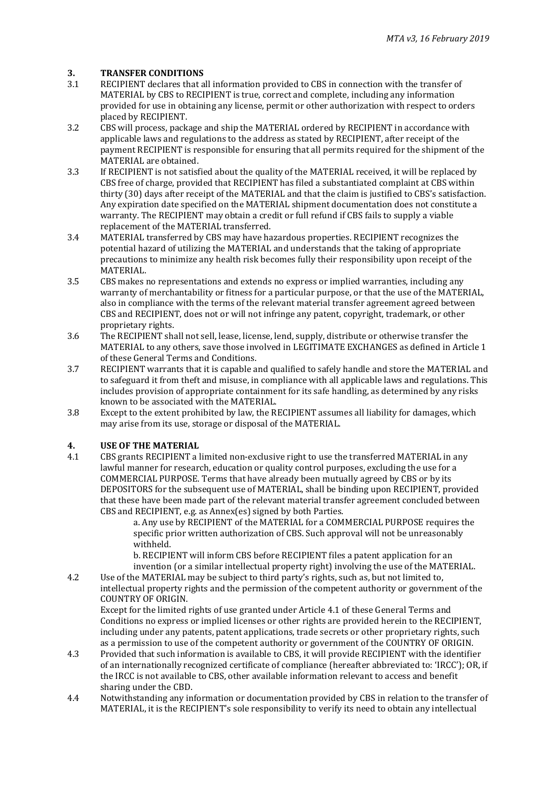### **3. TRANSFER CONDITIONS**

- 3.1 RECIPIENT declares that all information provided to CBS in connection with the transfer of MATERIAL by CBS to RECIPIENT is true, correct and complete, including any information provided for use in obtaining any license, permit or other authorization with respect to orders placed by RECIPIENT.
- 3.2 CBS will process, package and ship the MATERIAL ordered by RECIPIENT in accordance with applicable laws and regulations to the address as stated by RECIPIENT, after receipt of the payment RECIPIENT is responsible for ensuring that all permits required for the shipment of the MATERIAL are obtained.
- 3.3 If RECIPIENT is not satisfied about the quality of the MATERIAL received, it will be replaced by CBS free of charge, provided that RECIPIENT has filed a substantiated complaint at CBS within thirty (30) days after receipt of the MATERIAL and that the claim is justified to CBS's satisfaction. Any expiration date specified on the MATERIAL shipment documentation does not constitute a warranty. The RECIPIENT may obtain a credit or full refund if CBS fails to supply a viable replacement of the MATERIAL transferred.
- 3.4 MATERIAL transferred by CBS may have hazardous properties. RECIPIENT recognizes the potential hazard of utilizing the MATERIAL and understands that the taking of appropriate precautions to minimize any health risk becomes fully their responsibility upon receipt of the MATERIAL.
- 3.5 CBS makes no representations and extends no express or implied warranties, including any warranty of merchantability or fitness for a particular purpose, or that the use of the MATERIAL, also in compliance with the terms of the relevant material transfer agreement agreed between CBS and RECIPIENT, does not or will not infringe any patent, copyright, trademark, or other proprietary rights.
- 3.6 The RECIPIENT shall not sell, lease, license, lend, supply, distribute or otherwise transfer the MATERIAL to any others, save those involved in LEGITIMATE EXCHANGES as defined in Article 1 of these General Terms and Conditions.
- 3.7 RECIPIENT warrants that it is capable and qualified to safely handle and store the MATERIAL and to safeguard it from theft and misuse, in compliance with all applicable laws and regulations. This includes provision of appropriate containment for its safe handling, as determined by any risks known to be associated with the MATERIAL.
- 3.8 Except to the extent prohibited by law, the RECIPIENT assumes all liability for damages, which may arise from its use, storage or disposal of the MATERIAL.

### **4. USE OF THE MATERIAL**

4.1 CBS grants RECIPIENT a limited non-exclusive right to use the transferred MATERIAL in any lawful manner for research, education or quality control purposes, excluding the use for a COMMERCIAL PURPOSE. Terms that have already been mutually agreed by CBS or by its DEPOSITORS for the subsequent use of MATERIAL, shall be binding upon RECIPIENT, provided that these have been made part of the relevant material transfer agreement concluded between CBS and RECIPIENT, e.g. as Annex(es) signed by both Parties.

a. Any use by RECIPIENT of the MATERIAL for a COMMERCIAL PURPOSE requires the specific prior written authorization of CBS. Such approval will not be unreasonably withheld.

b. RECIPIENT will inform CBS before RECIPIENT files a patent application for an invention (or a similar intellectual property right) involving the use of the MATERIAL.

4.2 Use of the MATERIAL may be subject to third party's rights, such as, but not limited to, intellectual property rights and the permission of the competent authority or government of the COUNTRY OF ORIGIN.

Except for the limited rights of use granted under Article 4.1 of these General Terms and Conditions no express or implied licenses or other rights are provided herein to the RECIPIENT, including under any patents, patent applications, trade secrets or other proprietary rights, such as a permission to use of the competent authority or government of the COUNTRY OF ORIGIN.

- 4.3 Provided that such information is available to CBS, it will provide RECIPIENT with the identifier of an internationally recognized certificate of compliance (hereafter abbreviated to: 'IRCC'); OR, if the IRCC is not available to CBS, other available information relevant to access and benefit sharing under the CBD.
- 4.4 Notwithstanding any information or documentation provided by CBS in relation to the transfer of MATERIAL, it is the RECIPIENT's sole responsibility to verify its need to obtain any intellectual